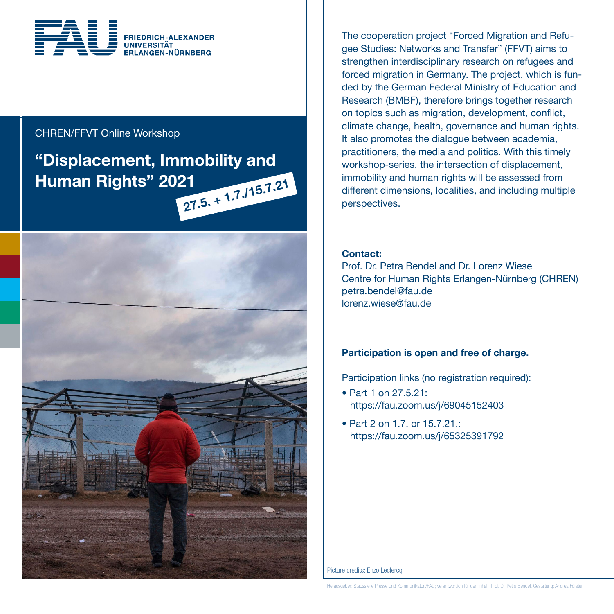

## CHREN/FFVT Online Workshop

# "Displacement, Immobility and Human Rights" 2021



The cooperation project "Forced Migration and Refugee Studies: Networks and Transfer" (FFVT) aims to strengthen interdisciplinary research on refugees and forced migration in Germany. The project, which is funded by the German Federal Ministry of Education and Research (BMBF), therefore brings together research on topics such as migration, development, conflict, climate change, health, governance and human rights. It also promotes the dialogue between academia, practitioners, the media and politics. With this timely workshop-series, the intersection of displacement, immobility and human rights will be assessed from different dimensions, localities, and including multiple perspectives.

### Contact:

Prof. Dr. Petra Bendel and Dr. Lorenz Wiese Centre for Human Rights Erlangen-Nürnberg (CHREN) petra.bendel@fau.de lorenz.wiese@fau.de

## Participation is open and free of charge.

Participation links (no registration required):

- Part 1 on 27.5.21: https://fau.zoom.us/j/69045152403
- Part 2 on 1.7. or  $15.7.21$ . https://fau.zoom.us/j/65325391792

Picture credits: Enzo Leclercq

Herausgeber: Stabsstelle Presse und Kommunikaton/FAU; verantwortlich für den Inhalt: Prof. Dr. Petra Bendel, Gestaltung: Andrea Förster